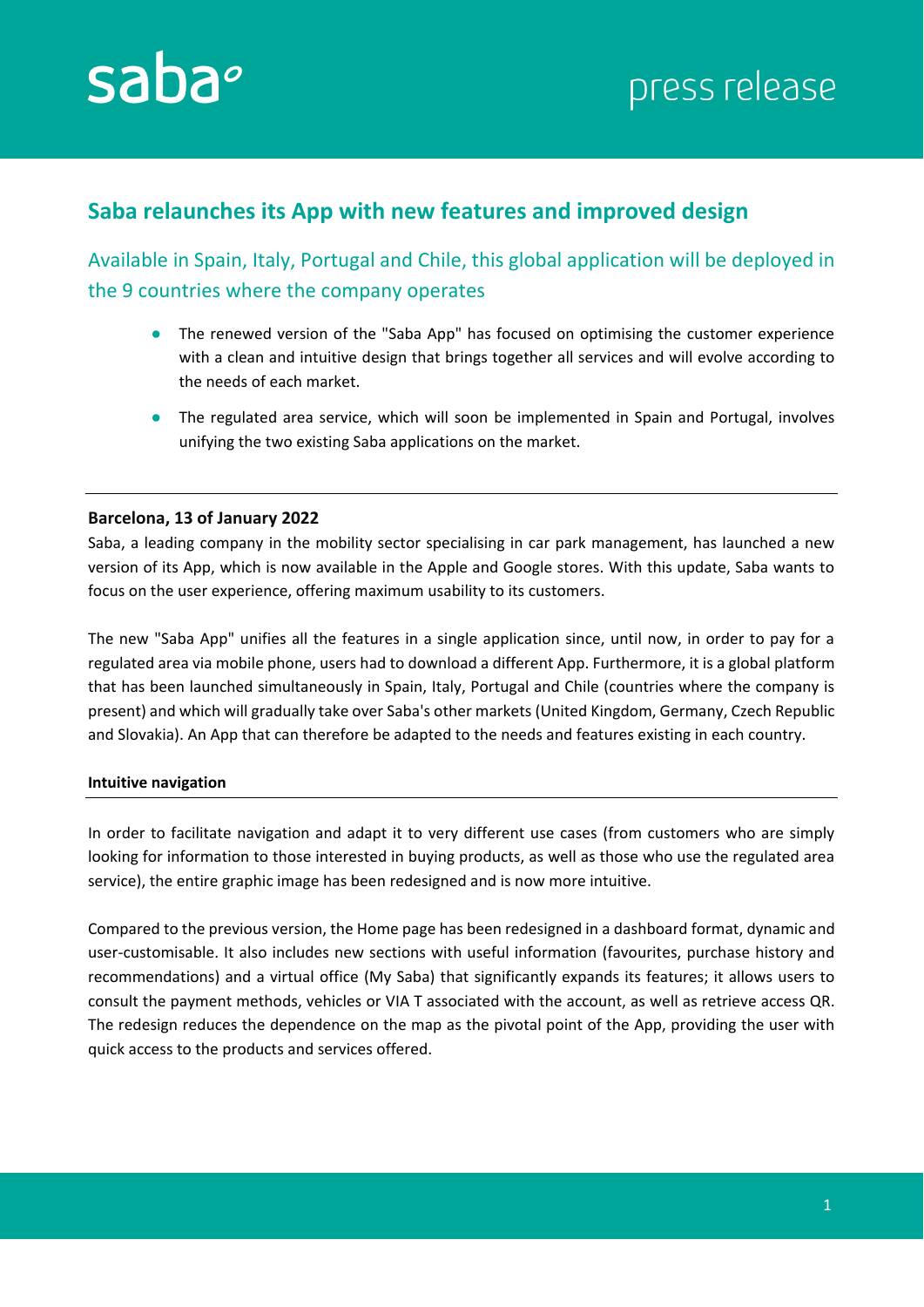

# **Saba relaunches its App with new features and improved design**

Available in Spain, Italy, Portugal and Chile, this global application will be deployed in the 9 countries where the company operates

- The renewed version of the "Saba App" has focused on optimising the customer experience with a clean and intuitive design that brings together all services and will evolve according to the needs of each market.
- The regulated area service, which will soon be implemented in Spain and Portugal, involves unifying the two existing Saba applications on the market.

## **Barcelona, 13 of January 2022**

Saba, a leading company in the mobility sector specialising in car park management, has launched a new version of its App, which is now available in the Apple and Google stores. With this update, Saba wants to focus on the user experience, offering maximum usability to its customers.

The new "Saba App" unifies all the features in a single application since, until now, in order to pay for a regulated area via mobile phone, users had to download a different App. Furthermore, it is a global platform that has been launched simultaneously in Spain, Italy, Portugal and Chile (countries where the company is present) and which will gradually take over Saba's other markets (United Kingdom, Germany, Czech Republic and Slovakia). An App that can therefore be adapted to the needs and features existing in each country.

### **Intuitive navigation**

In order to facilitate navigation and adapt it to very different use cases (from customers who are simply looking for information to those interested in buying products, as well as those who use the regulated area service), the entire graphic image has been redesigned and is now more intuitive.

Compared to the previous version, the Home page has been redesigned in a dashboard format, dynamic and user-customisable. It also includes new sections with useful information (favourites, purchase history and recommendations) and a virtual office (My Saba) that significantly expands its features; it allows users to consult the payment methods, vehicles or VIA T associated with the account, as well as retrieve access QR. The redesign reduces the dependence on the map as the pivotal point of the App, providing the user with quick access to the products and services offered.